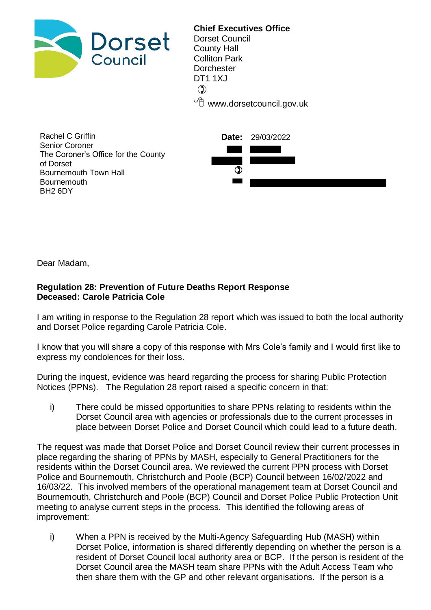

**Chief Executives Office**  Dorset Council County Hall Colliton Park **Dorchester** DT1 1XJ  $\mathcal{O}$  $\sqrt{\overline{C}}$  www.dorsetcouncil.gov.uk

| Rachel C Griffin                    | <b>Date:</b> 29/03/2022 |
|-------------------------------------|-------------------------|
| Senior Coroner                      |                         |
| The Coroner's Office for the County |                         |
| of Dorset                           |                         |
| Bournemouth Town Hall               |                         |
| <b>Bournemouth</b>                  |                         |
| BH <sub>2</sub> 6DY                 |                         |

Dear Madam,

## **Regulation 28: Prevention of Future Deaths Report Response Deceased: Carole Patricia Cole**

I am writing in response to the Regulation 28 report which was issued to both the local authority and Dorset Police regarding Carole Patricia Cole.

I know that you will share a copy of this response with Mrs Cole's family and I would first like to express my condolences for their loss.

During the inquest, evidence was heard regarding the process for sharing Public Protection Notices (PPNs). The Regulation 28 report raised a specific concern in that:

i) There could be missed opportunities to share PPNs relating to residents within the Dorset Council area with agencies or professionals due to the current processes in place between Dorset Police and Dorset Council which could lead to a future death.

The request was made that Dorset Police and Dorset Council review their current processes in place regarding the sharing of PPNs by MASH, especially to General Practitioners for the residents within the Dorset Council area. We reviewed the current PPN process with Dorset Police and Bournemouth, Christchurch and Poole (BCP) Council between 16/02/2022 and 16/03/22. This involved members of the operational management team at Dorset Council and Bournemouth, Christchurch and Poole (BCP) Council and Dorset Police Public Protection Unit meeting to analyse current steps in the process. This identified the following areas of improvement:

i) When a PPN is received by the Multi-Agency Safeguarding Hub (MASH) within Dorset Police, information is shared differently depending on whether the person is a resident of Dorset Council local authority area or BCP. If the person is resident of the Dorset Council area the MASH team share PPNs with the Adult Access Team who then share them with the GP and other relevant organisations. If the person is a